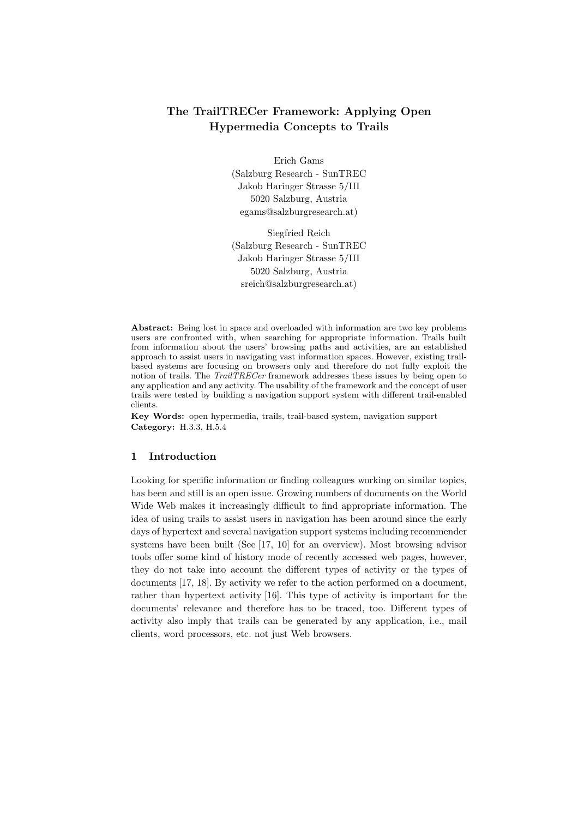# **The TrailTRECer Framework: Applying Open Hypermedia Concepts to Trails**

Erich Gams (Salzburg Research - SunTREC Jakob Haringer Strasse 5/III 5020 Salzburg, Austria egams@salzburgresearch.at)

Siegfried Reich (Salzburg Research - SunTREC Jakob Haringer Strasse 5/III 5020 Salzburg, Austria sreich@salzburgresearch.at)

**Abstract:** Being lost in space and overloaded with information are two key problems users are confronted with, when searching for appropriate information. Trails built from information about the users' browsing paths and activities, are an established approach to assist users in navigating vast information spaces. However, existing trailbased systems are focusing on browsers only and therefore do not fully exploit the notion of trails. The *TrailTRECer* framework addresses these issues by being open to any application and any activity. The usability of the framework and the concept of user trails were tested by building a navigation support system with different trail-enabled clients.

Key Words: open hypermedia, trails, trail-based system, navigation support **Category:** H.3.3, H.5.4

#### **1 Introduction**

Looking for specific information or finding colleagues working on similar topics, has been and still is an open issue. Growing numbers of documents on the World Wide Web makes it increasingly difficult to find appropriate information. The idea of using trails to assist users in navigation has been around since the early days of hypertext and several navigation support systems including recommender systems have been built (See [17, 10] for an overview). Most browsing advisor tools offer some kind of history mode of recently accessed web pages, however, they do not take into account the different types of activity or the types of documents [17, 18]. By activity we refer to the action performed on a document, rather than hypertext activity [16]. This type of activity is important for the documents' relevance and therefore has to be traced, too. Different types of activity also imply that trails can be generated by any application, i.e., mail clients, word processors, etc. not just Web browsers.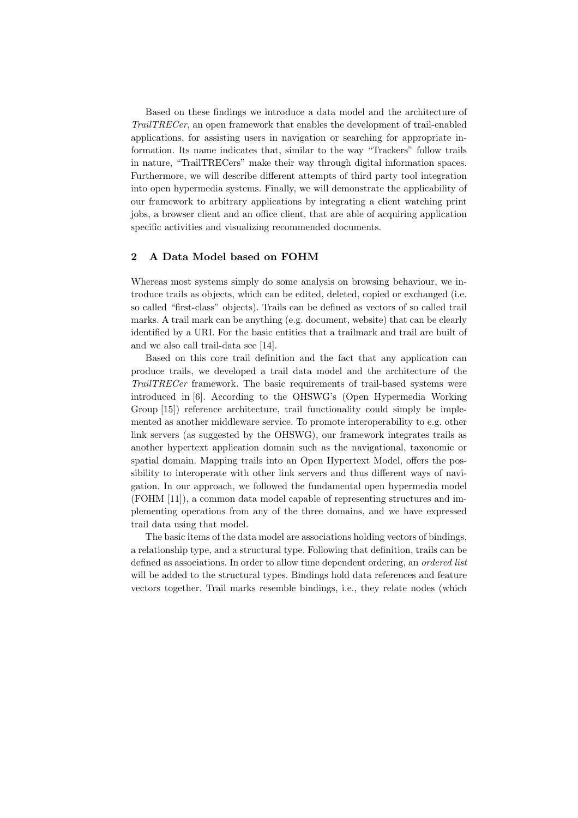Based on these findings we introduce a data model and the architecture of *TrailTRECer*, an open framework that enables the development of trail-enabled applications, for assisting users in navigation or searching for appropriate information. Its name indicates that, similar to the way "Trackers" follow trails in nature, "TrailTRECers" make their way through digital information spaces. Furthermore, we will describe different attempts of third party tool integration into open hypermedia systems. Finally, we will demonstrate the applicability of our framework to arbitrary applications by integrating a client watching print jobs, a browser client and an office client, that are able of acquiring application specific activities and visualizing recommended documents.

#### **2 A Data Model based on FOHM**

Whereas most systems simply do some analysis on browsing behaviour, we introduce trails as objects, which can be edited, deleted, copied or exchanged (i.e. so called "first-class" objects). Trails can be defined as vectors of so called trail marks. A trail mark can be anything (e.g. document, website) that can be clearly identified by a URI. For the basic entities that a trailmark and trail are built of and we also call trail-data see [14].

Based on this core trail definition and the fact that any application can produce trails, we developed a trail data model and the architecture of the *TrailTRECer* framework. The basic requirements of trail-based systems were introduced in [6]. According to the OHSWG's (Open Hypermedia Working Group [15]) reference architecture, trail functionality could simply be implemented as another middleware service. To promote interoperability to e.g. other link servers (as suggested by the OHSWG), our framework integrates trails as another hypertext application domain such as the navigational, taxonomic or spatial domain. Mapping trails into an Open Hypertext Model, offers the possibility to interoperate with other link servers and thus different ways of navigation. In our approach, we followed the fundamental open hypermedia model (FOHM [11]), a common data model capable of representing structures and implementing operations from any of the three domains, and we have expressed trail data using that model.

The basic items of the data model are associations holding vectors of bindings, a relationship type, and a structural type. Following that definition, trails can be defined as associations. In order to allow time dependent ordering, an *ordered list* will be added to the structural types. Bindings hold data references and feature vectors together. Trail marks resemble bindings, i.e., they relate nodes (which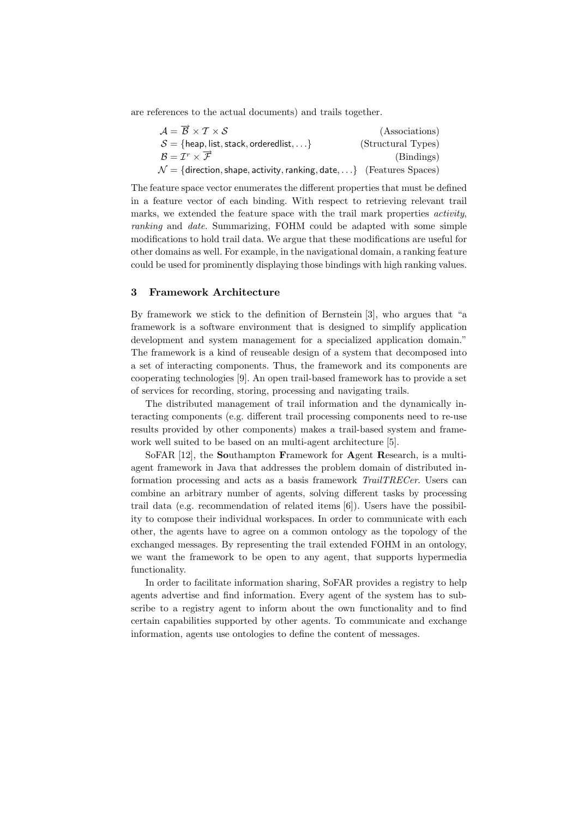are references to the actual documents) and trails together.

| $\mathcal{A} = \overrightarrow{\mathcal{B}} \times \mathcal{T} \times \mathcal{S}$ | (Associations)     |
|------------------------------------------------------------------------------------|--------------------|
| $S = \{ \text{heap}, \text{list}, \text{stack}, \text{orderedlist}, \ldots \}$     | (Structural Types) |
| $\mathcal{B} = \mathcal{I}^r \times \overrightarrow{\mathcal{F}}$                  | (Bindings)         |
| $\mathcal{N} = \{$ direction, shape, activity, ranking, date,} (Features Spaces)   |                    |

The feature space vector enumerates the different properties that must be defined in a feature vector of each binding. With respect to retrieving relevant trail marks, we extended the feature space with the trail mark properties *activity*, *ranking* and *date*. Summarizing, FOHM could be adapted with some simple modifications to hold trail data. We argue that these modifications are useful for other domains as well. For example, in the navigational domain, a ranking feature could be used for prominently displaying those bindings with high ranking values.

## **3 Framework Architecture**

By framework we stick to the definition of Bernstein [3], who argues that "a framework is a software environment that is designed to simplify application development and system management for a specialized application domain." The framework is a kind of reuseable design of a system that decomposed into a set of interacting components. Thus, the framework and its components are cooperating technologies [9]. An open trail-based framework has to provide a set of services for recording, storing, processing and navigating trails.

The distributed management of trail information and the dynamically interacting components (e.g. different trail processing components need to re-use results provided by other components) makes a trail-based system and framework well suited to be based on an multi-agent architecture [5].

SoFAR [12], the **So**uthampton **F**ramework for **A**gent **R**esearch, is a multiagent framework in Java that addresses the problem domain of distributed information processing and acts as a basis framework *TrailTRECer*. Users can combine an arbitrary number of agents, solving different tasks by processing trail data (e.g. recommendation of related items [6]). Users have the possibility to compose their individual workspaces. In order to communicate with each other, the agents have to agree on a common ontology as the topology of the exchanged messages. By representing the trail extended FOHM in an ontology, we want the framework to be open to any agent, that supports hypermedia functionality.

In order to facilitate information sharing, SoFAR provides a registry to help agents advertise and find information. Every agent of the system has to subscribe to a registry agent to inform about the own functionality and to find certain capabilities supported by other agents. To communicate and exchange information, agents use ontologies to define the content of messages.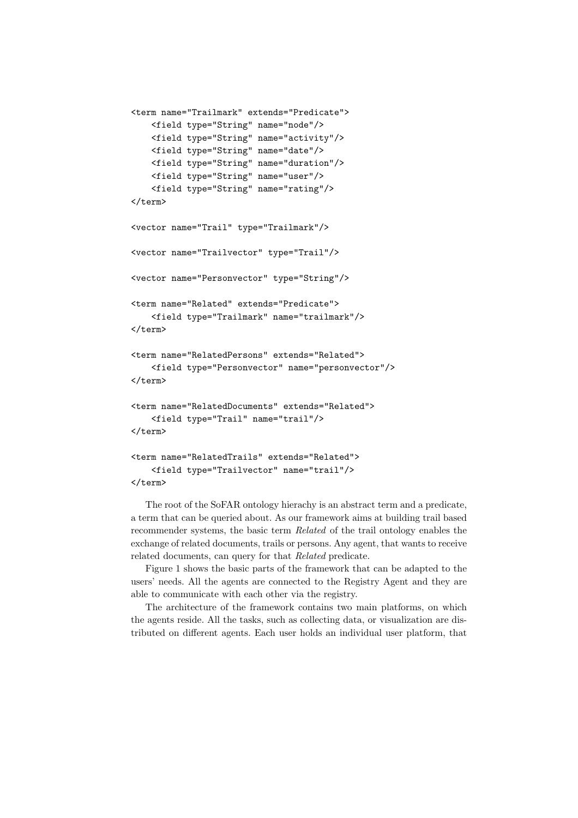```
<term name="Trailmark" extends="Predicate">
    <field type="String" name="node"/>
    <field type="String" name="activity"/>
    <field type="String" name="date"/>
    <field type="String" name="duration"/>
    <field type="String" name="user"/>
    <field type="String" name="rating"/>
</term>
<vector name="Trail" type="Trailmark"/>
<vector name="Trailvector" type="Trail"/>
<vector name="Personvector" type="String"/>
<term name="Related" extends="Predicate">
    <field type="Trailmark" name="trailmark"/>
</term>
<term name="RelatedPersons" extends="Related">
    <field type="Personvector" name="personvector"/>
</term>
<term name="RelatedDocuments" extends="Related">
    <field type="Trail" name="trail"/>
</term>
<term name="RelatedTrails" extends="Related">
    <field type="Trailvector" name="trail"/>
</term>
```
The root of the SoFAR ontology hierachy is an abstract term and a predicate, a term that can be queried about. As our framework aims at building trail based recommender systems, the basic term *Related* of the trail ontology enables the exchange of related documents, trails or persons. Any agent, that wants to receive related documents, can query for that *Related* predicate.

Figure 1 shows the basic parts of the framework that can be adapted to the users' needs. All the agents are connected to the Registry Agent and they are able to communicate with each other via the registry.

The architecture of the framework contains two main platforms, on which the agents reside. All the tasks, such as collecting data, or visualization are distributed on different agents. Each user holds an individual user platform, that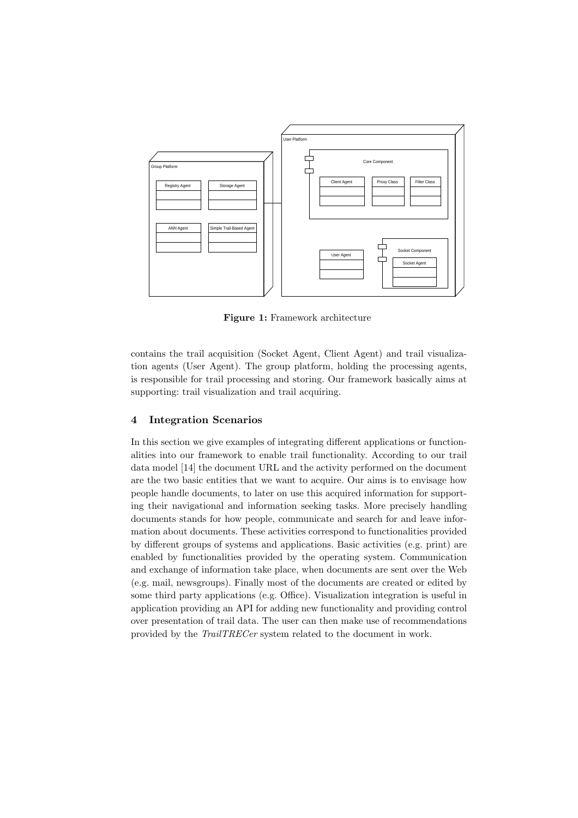

**Figure 1:** Framework architecture

contains the trail acquisition (Socket Agent, Client Agent) and trail visualization agents (User Agent). The group platform, holding the processing agents, is responsible for trail processing and storing. Our framework basically aims at supporting: trail visualization and trail acquiring.

# **4 Integration Scenarios**

In this section we give examples of integrating different applications or functionalities into our framework to enable trail functionality. According to our trail data model [14] the document URL and the activity performed on the document are the two basic entities that we want to acquire. Our aims is to envisage how people handle documents, to later on use this acquired information for supporting their navigational and information seeking tasks. More precisely handling documents stands for how people, communicate and search for and leave information about documents. These activities correspond to functionalities provided by different groups of systems and applications. Basic activities (e.g. print) are enabled by functionalities provided by the operating system. Communication and exchange of information take place, when documents are sent over the Web (e.g. mail, newsgroups). Finally most of the documents are created or edited by some third party applications (e.g. Office). Visualization integration is useful in application providing an API for adding new functionality and providing control over presentation of trail data. The user can then make use of recommendations provided by the *TrailTRECer* system related to the document in work.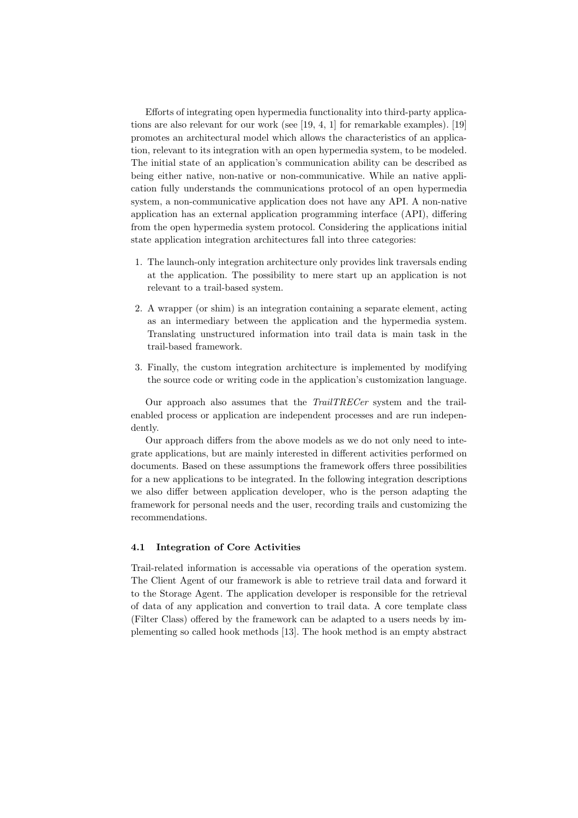Efforts of integrating open hypermedia functionality into third-party applications are also relevant for our work (see [19, 4, 1] for remarkable examples). [19] promotes an architectural model which allows the characteristics of an application, relevant to its integration with an open hypermedia system, to be modeled. The initial state of an application's communication ability can be described as being either native, non-native or non-communicative. While an native application fully understands the communications protocol of an open hypermedia system, a non-communicative application does not have any API. A non-native application has an external application programming interface (API), differing from the open hypermedia system protocol. Considering the applications initial state application integration architectures fall into three categories:

- 1. The launch-only integration architecture only provides link traversals ending at the application. The possibility to mere start up an application is not relevant to a trail-based system.
- 2. A wrapper (or shim) is an integration containing a separate element, acting as an intermediary between the application and the hypermedia system. Translating unstructured information into trail data is main task in the trail-based framework.
- 3. Finally, the custom integration architecture is implemented by modifying the source code or writing code in the application's customization language.

Our approach also assumes that the *TrailTRECer* system and the trailenabled process or application are independent processes and are run independently.

Our approach differs from the above models as we do not only need to integrate applications, but are mainly interested in different activities performed on documents. Based on these assumptions the framework offers three possibilities for a new applications to be integrated. In the following integration descriptions we also differ between application developer, who is the person adapting the framework for personal needs and the user, recording trails and customizing the recommendations.

#### **4.1 Integration of Core Activities**

Trail-related information is accessable via operations of the operation system. The Client Agent of our framework is able to retrieve trail data and forward it to the Storage Agent. The application developer is responsible for the retrieval of data of any application and convertion to trail data. A core template class (Filter Class) offered by the framework can be adapted to a users needs by implementing so called hook methods [13]. The hook method is an empty abstract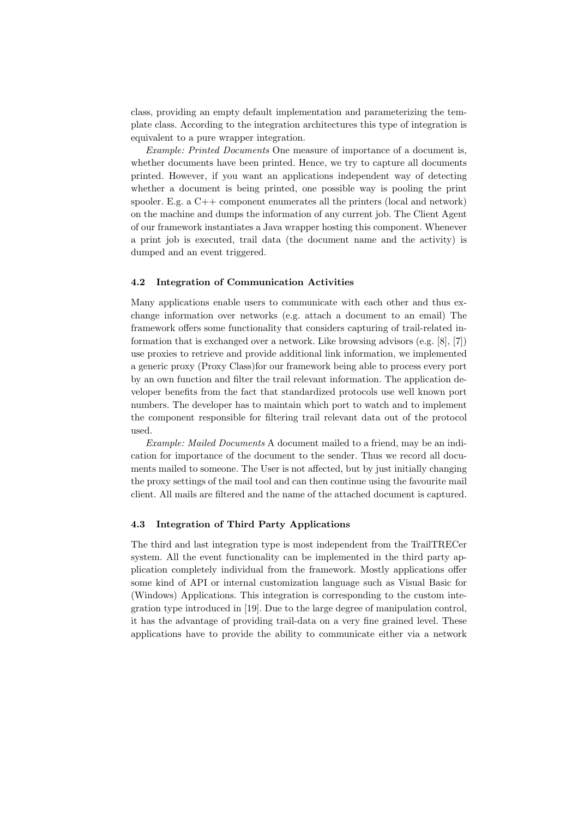class, providing an empty default implementation and parameterizing the template class. According to the integration architectures this type of integration is equivalent to a pure wrapper integration.

*Example: Printed Documents* One measure of importance of a document is, whether documents have been printed. Hence, we try to capture all documents printed. However, if you want an applications independent way of detecting whether a document is being printed, one possible way is pooling the print spooler. E.g. a  $C++$  component enumerates all the printers (local and network) on the machine and dumps the information of any current job. The Client Agent of our framework instantiates a Java wrapper hosting this component. Whenever a print job is executed, trail data (the document name and the activity) is dumped and an event triggered.

#### **4.2 Integration of Communication Activities**

Many applications enable users to communicate with each other and thus exchange information over networks (e.g. attach a document to an email) The framework offers some functionality that considers capturing of trail-related information that is exchanged over a network. Like browsing advisors (e.g. [8], [7]) use proxies to retrieve and provide additional link information, we implemented a generic proxy (Proxy Class)for our framework being able to process every port by an own function and filter the trail relevant information. The application developer benefits from the fact that standardized protocols use well known port numbers. The developer has to maintain which port to watch and to implement the component responsible for filtering trail relevant data out of the protocol used.

*Example: Mailed Documents* A document mailed to a friend, may be an indication for importance of the document to the sender. Thus we record all documents mailed to someone. The User is not affected, but by just initially changing the proxy settings of the mail tool and can then continue using the favourite mail client. All mails are filtered and the name of the attached document is captured.

#### **4.3 Integration of Third Party Applications**

The third and last integration type is most independent from the TrailTRECer system. All the event functionality can be implemented in the third party application completely individual from the framework. Mostly applications offer some kind of API or internal customization language such as Visual Basic for (Windows) Applications. This integration is corresponding to the custom integration type introduced in [19]. Due to the large degree of manipulation control, it has the advantage of providing trail-data on a very fine grained level. These applications have to provide the ability to communicate either via a network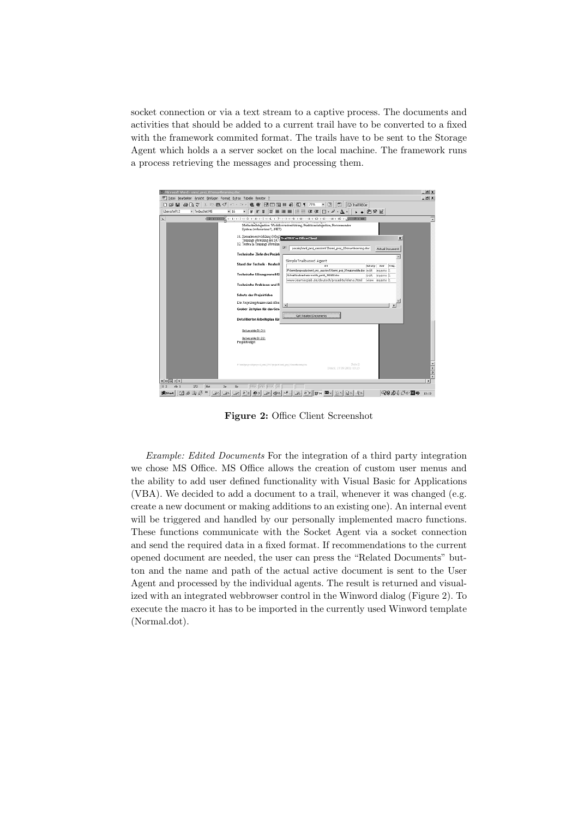socket connection or via a text stream to a captive process. The documents and activities that should be added to a current trail have to be converted to a fixed with the framework commited format. The trails have to be sent to the Storage Agent which holds a a server socket on the local machine. The framework runs a process retrieving the messages and processing them.



**Figure 2:** Office Client Screenshot

*Example: Edited Documents* For the integration of a third party integration we chose MS Office. MS Office allows the creation of custom user menus and the ability to add user defined functionality with Visual Basic for Applications (VBA). We decided to add a document to a trail, whenever it was changed (e.g. create a new document or making additions to an existing one). An internal event will be triggered and handled by our personally implemented macro functions. These functions communicate with the Socket Agent via a socket connection and send the required data in a fixed format. If recommendations to the current opened document are needed, the user can press the "Related Documents" button and the name and path of the actual active document is sent to the User Agent and processed by the individual agents. The result is returned and visualized with an integrated webbrowser control in the Winword dialog (Figure 2). To execute the macro it has to be imported in the currently used Winword template (Normal.dot).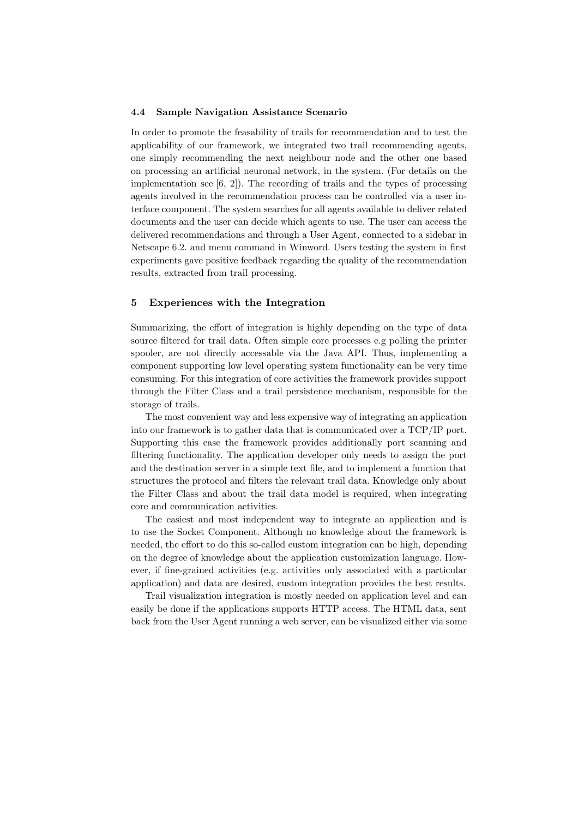#### **4.4 Sample Navigation Assistance Scenario**

In order to promote the feasability of trails for recommendation and to test the applicability of our framework, we integrated two trail recommending agents, one simply recommending the next neighbour node and the other one based on processing an artificial neuronal network, in the system. (For details on the implementation see [6, 2]). The recording of trails and the types of processing agents involved in the recommendation process can be controlled via a user interface component. The system searches for all agents available to deliver related documents and the user can decide which agents to use. The user can access the delivered recommendations and through a User Agent, connected to a sidebar in Netscape 6.2. and menu command in Winword. Users testing the system in first experiments gave positive feedback regarding the quality of the recommendation results, extracted from trail processing.

## **5 Experiences with the Integration**

Summarizing, the effort of integration is highly depending on the type of data source filtered for trail data. Often simple core processes e.g polling the printer spooler, are not directly accessable via the Java API. Thus, implementing a component supporting low level operating system functionality can be very time consuming. For this integration of core activities the framework provides support through the Filter Class and a trail persistence mechanism, responsible for the storage of trails.

The most convenient way and less expensive way of integrating an application into our framework is to gather data that is communicated over a TCP/IP port. Supporting this case the framework provides additionally port scanning and filtering functionality. The application developer only needs to assign the port and the destination server in a simple text file, and to implement a function that structures the protocol and filters the relevant trail data. Knowledge only about the Filter Class and about the trail data model is required, when integrating core and communication activities.

The easiest and most independent way to integrate an application and is to use the Socket Component. Although no knowledge about the framework is needed, the effort to do this so-called custom integration can be high, depending on the degree of knowledge about the application customization language. However, if fine-grained activities (e.g. activities only associated with a particular application) and data are desired, custom integration provides the best results.

Trail visualization integration is mostly needed on application level and can easily be done if the applications supports HTTP access. The HTML data, sent back from the User Agent running a web server, can be visualized either via some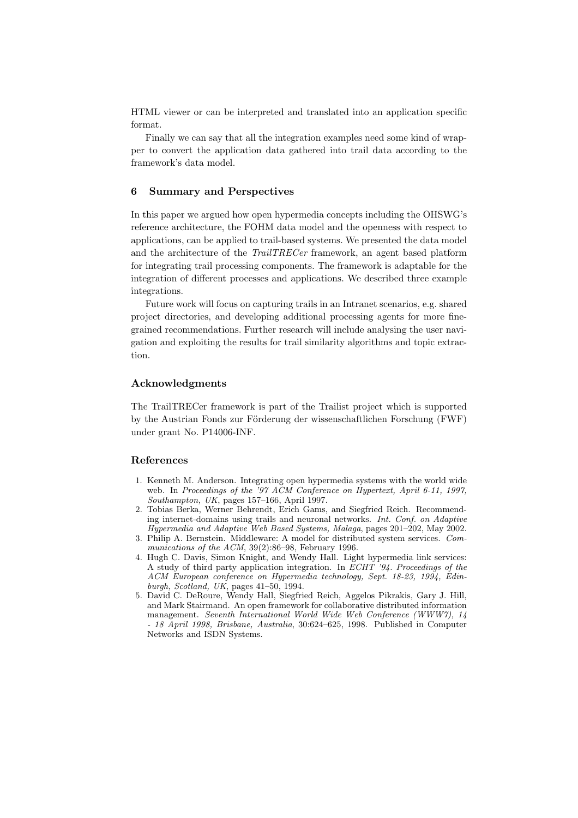HTML viewer or can be interpreted and translated into an application specific format.

Finally we can say that all the integration examples need some kind of wrapper to convert the application data gathered into trail data according to the framework's data model.

# **6 Summary and Perspectives**

In this paper we argued how open hypermedia concepts including the OHSWG's reference architecture, the FOHM data model and the openness with respect to applications, can be applied to trail-based systems. We presented the data model and the architecture of the *TrailTRECer* framework, an agent based platform for integrating trail processing components. The framework is adaptable for the integration of different processes and applications. We described three example integrations.

Future work will focus on capturing trails in an Intranet scenarios, e.g. shared project directories, and developing additional processing agents for more finegrained recommendations. Further research will include analysing the user navigation and exploiting the results for trail similarity algorithms and topic extraction.

#### **Acknowledgments**

The TrailTRECer framework is part of the Trailist project which is supported by the Austrian Fonds zur Förderung der wissenschaftlichen Forschung (FWF) under grant No. P14006-INF.

#### **References**

- 1. Kenneth M. Anderson. Integrating open hypermedia systems with the world wide web. In *Proceedings of the '97 ACM Conference on Hypertext, April 6-11, 1997, Southampton, UK*, pages 157–166, April 1997.
- 2. Tobias Berka, Werner Behrendt, Erich Gams, and Siegfried Reich. Recommending internet-domains using trails and neuronal networks. *Int. Conf. on Adaptive Hypermedia and Adaptive Web Based Systems, Malaga*, pages 201–202, May 2002.
- 3. Philip A. Bernstein. Middleware: A model for distributed system services. *Communications of the ACM*, 39(2):86–98, February 1996.
- 4. Hugh C. Davis, Simon Knight, and Wendy Hall. Light hypermedia link services: A study of third party application integration. In *ECHT '94. Proceedings of the ACM European conference on Hypermedia technology, Sept. 18-23, 1994, Edinburgh, Scotland, UK*, pages 41–50, 1994.
- 5. David C. DeRoure, Wendy Hall, Siegfried Reich, Aggelos Pikrakis, Gary J. Hill, and Mark Stairmand. An open framework for collaborative distributed information management. *Seventh International World Wide Web Conference (WWW7), 14 - 18 April 1998, Brisbane, Australia*, 30:624–625, 1998. Published in Computer Networks and ISDN Systems.